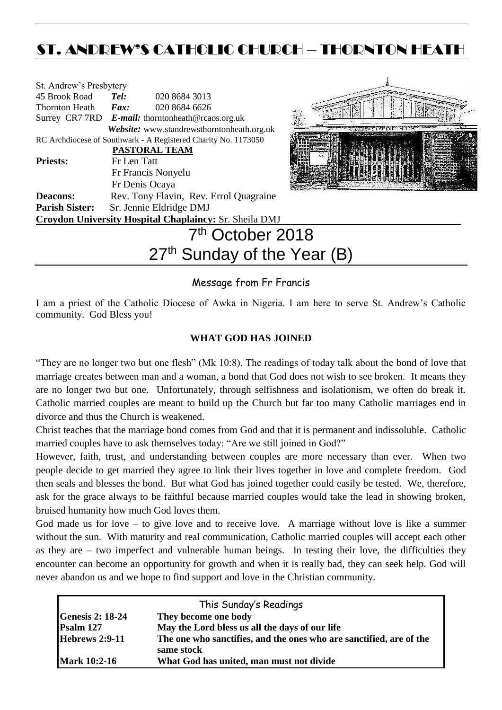# ST. ANDREW'S CATHOLIC CHURCH – THORNTON HEATH

| St. Andrew's Presbytery                 |                                        |                                                                |  |  |  |
|-----------------------------------------|----------------------------------------|----------------------------------------------------------------|--|--|--|
| 45 Brook Road                           | Tel:                                   | 020 8684 3013                                                  |  |  |  |
| Thornton Heath <i>Fax</i> :             |                                        | 020 8684 6626                                                  |  |  |  |
|                                         |                                        | Surrey CR7 7RD E-mail: thorntonheath@rcaos.org.uk              |  |  |  |
|                                         |                                        | Website: www.standrewsthorntonheath.org.uk                     |  |  |  |
|                                         |                                        | RC Archdiocese of Southwark - A Registered Charity No. 1173050 |  |  |  |
|                                         |                                        | <b>PASTORAL TEAM</b>                                           |  |  |  |
| <b>Priests:</b>                         | Fr Len Tatt                            |                                                                |  |  |  |
|                                         |                                        | Fr Francis Nonyelu                                             |  |  |  |
|                                         |                                        | Fr Denis Ocaya                                                 |  |  |  |
| <b>Deacons:</b>                         |                                        | Rev. Tony Flavin, Rev. Errol Quagraine                         |  |  |  |
|                                         | Parish Sister: Sr. Jennie Eldridge DMJ |                                                                |  |  |  |
|                                         |                                        | Croydon University Hospital Chaplaincy: Sr. Sheila DMJ         |  |  |  |
|                                         | 7 <sup>th</sup> October 2018           |                                                                |  |  |  |
| 27 <sup>th</sup> Sunday of the Year (B) |                                        |                                                                |  |  |  |



# Message from Fr Francis

I am a priest of the Catholic Diocese of Awka in Nigeria. I am here to serve St. Andrew's Catholic community. God Bless you!

# **WHAT GOD HAS JOINED**

"They are no longer two but one flesh" (Mk 10:8). The readings of today talk about the bond of love that marriage creates between man and a woman, a bond that God does not wish to see broken. It means they are no longer two but one. Unfortunately, through selfishness and isolationism, we often do break it. Catholic married couples are meant to build up the Church but far too many Catholic marriages end in divorce and thus the Church is weakened.

Christ teaches that the marriage bond comes from God and that it is permanent and indissoluble. Catholic married couples have to ask themselves today: "Are we still joined in God?"

However, faith, trust, and understanding between couples are more necessary than ever. When two people decide to get married they agree to link their lives together in love and complete freedom. God then seals and blesses the bond. But what God has joined together could easily be tested. We, therefore, ask for the grace always to be faithful because married couples would take the lead in showing broken, bruised humanity how much God loves them.

God made us for love – to give love and to receive love. A marriage without love is like a summer without the sun. With maturity and real communication, Catholic married couples will accept each other as they are – two imperfect and vulnerable human beings. In testing their love, the difficulties they encounter can become an opportunity for growth and when it is really bad, they can seek help. God will never abandon us and we hope to find support and love in the Christian community.

| This Sunday's Readings  |                                                                                   |  |  |  |
|-------------------------|-----------------------------------------------------------------------------------|--|--|--|
| <b>Genesis 2: 18-24</b> | They become one body                                                              |  |  |  |
| Psalm 127               | May the Lord bless us all the days of our life                                    |  |  |  |
| <b>Hebrews 2:9-11</b>   | The one who sanctifies, and the ones who are sanctified, are of the<br>same stock |  |  |  |
| <b>Mark 10:2-16</b>     | What God has united, man must not divide                                          |  |  |  |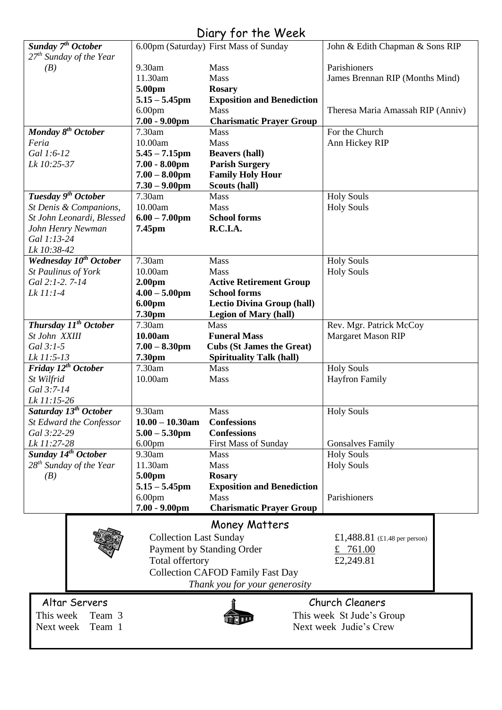# Diary for the Week

| Sunday 7 <sup>th</sup> October      |                               | 6.00pm (Saturday) First Mass of Sunday  | John & Edith Chapman & Sons RIP                           |
|-------------------------------------|-------------------------------|-----------------------------------------|-----------------------------------------------------------|
| 27 <sup>th</sup> Sunday of the Year |                               |                                         |                                                           |
| (B)                                 | 9.30am                        | Mass                                    | Parishioners                                              |
|                                     | 11.30am                       | Mass                                    | James Brennan RIP (Months Mind)                           |
|                                     | 5.00pm                        | <b>Rosary</b>                           |                                                           |
|                                     | $5.15 - 5.45$ pm              | <b>Exposition and Benediction</b>       |                                                           |
|                                     | 6.00 <sub>pm</sub>            | Mass                                    | Theresa Maria Amassah RIP (Anniv)                         |
|                                     | $7.00 - 9.00$ pm              | <b>Charismatic Prayer Group</b>         |                                                           |
| Monday 8 <sup>th</sup> October      | 7.30am                        | <b>Mass</b>                             | For the Church                                            |
|                                     | 10.00am                       | Mass                                    |                                                           |
| Feria                               |                               |                                         | Ann Hickey RIP                                            |
| Gal 1:6-12                          | $5.45 - 7.15$ pm              | <b>Beavers (hall)</b>                   |                                                           |
| Lk 10:25-37                         | $7.00 - 8.00$ pm              | <b>Parish Surgery</b>                   |                                                           |
|                                     | $7.00 - 8.00$ pm              | <b>Family Holy Hour</b>                 |                                                           |
|                                     | $7.30 - 9.00$ pm              | Scouts (hall)                           |                                                           |
| Tuesday 9 <sup>th</sup> October     | 7.30am                        | <b>Mass</b>                             | <b>Holy Souls</b>                                         |
| St Denis & Companions,              | 10.00am                       | <b>Mass</b>                             | <b>Holy Souls</b>                                         |
| St John Leonardi, Blessed           | $6.00 - 7.00$ pm              | <b>School forms</b>                     |                                                           |
| John Henry Newman                   | 7.45pm                        | R.C.I.A.                                |                                                           |
| Gal 1:13-24                         |                               |                                         |                                                           |
|                                     |                               |                                         |                                                           |
| Lk 10:38-42                         |                               |                                         |                                                           |
| Wednesday 10 <sup>th</sup> October  | 7.30am                        | Mass                                    | <b>Holy Souls</b>                                         |
| St Paulinus of York                 | 10.00am                       | <b>Mass</b>                             | <b>Holy Souls</b>                                         |
| Gal 2:1-2.7-14                      | 2.00 <sub>pm</sub>            | <b>Active Retirement Group</b>          |                                                           |
| Lk 11:1-4                           | $4.00 - 5.00$ pm              | <b>School forms</b>                     |                                                           |
|                                     | 6.00pm                        | <b>Lectio Divina Group (hall)</b>       |                                                           |
|                                     | 7.30pm                        | <b>Legion of Mary (hall)</b>            |                                                           |
| Thursday 11 <sup>th</sup> October   | 7.30am                        | <b>Mass</b>                             | Rev. Mgr. Patrick McCoy                                   |
| St John XXIII                       | 10.00am                       | <b>Funeral Mass</b>                     | <b>Margaret Mason RIP</b>                                 |
|                                     |                               |                                         |                                                           |
| Gal 3:1-5                           | $7.00 - 8.30$ pm              | <b>Cubs (St James the Great)</b>        |                                                           |
| Lk 11:5-13                          | 7.30pm                        | <b>Spirituality Talk (hall)</b>         |                                                           |
| Friday 12 <sup>th</sup> October     | 7.30am                        | Mass                                    | <b>Holy Souls</b>                                         |
| St Wilfrid                          | 10.00am                       | <b>Mass</b>                             | <b>Hayfron Family</b>                                     |
| Gal 3:7-14                          |                               |                                         |                                                           |
| Lk 11:15-26                         |                               |                                         |                                                           |
| Saturday 13 <sup>th</sup> October   | 9.30am                        | <b>Mass</b>                             | <b>Holy Souls</b>                                         |
| St Edward the Confessor             | $10.00 - 10.30$ am            | <b>Confessions</b>                      |                                                           |
| Gal 3:22-29                         | $5.00 - 5.30$ pm              | <b>Confessions</b>                      |                                                           |
|                                     |                               |                                         |                                                           |
| Lk 11:27-28                         | 6.00 <sub>pm</sub>            | First Mass of Sunday                    | <b>Gonsalves Family</b>                                   |
| Sunday 14 <sup>th</sup> October     | 9.30am                        | <b>Mass</b>                             | <b>Holy Souls</b>                                         |
| $28^{th}$ Sunday of the Year        | 11.30am                       | <b>Mass</b>                             | <b>Holy Souls</b>                                         |
| (B)                                 | 5.00pm                        | <b>Rosary</b>                           |                                                           |
|                                     | $5.15 - 5.45$ pm              | <b>Exposition and Benediction</b>       |                                                           |
|                                     | 6.00 <sub>pm</sub>            | Mass                                    | Parishioners                                              |
|                                     | $7.00 - 9.00$ pm              | <b>Charismatic Prayer Group</b>         |                                                           |
|                                     |                               |                                         |                                                           |
|                                     |                               | <b>Money Matters</b>                    |                                                           |
|                                     | <b>Collection Last Sunday</b> |                                         | £1,488.81 $(\text{\textsterling}1.48 \text{ per person})$ |
|                                     |                               | Payment by Standing Order               | 761.00<br>£                                               |
|                                     |                               |                                         |                                                           |
|                                     | Total offertory               |                                         | £2,249.81                                                 |
|                                     |                               | <b>Collection CAFOD Family Fast Day</b> |                                                           |
|                                     |                               | Thank you for your generosity           |                                                           |
|                                     |                               |                                         |                                                           |
| Altar Servers                       |                               |                                         | <b>Church Cleaners</b>                                    |
| This week<br>Team 3                 |                               |                                         | This week St Jude's Group                                 |
|                                     |                               |                                         | Next week Judie's Crew                                    |
| Next week<br>Team 1                 |                               |                                         |                                                           |
|                                     |                               |                                         |                                                           |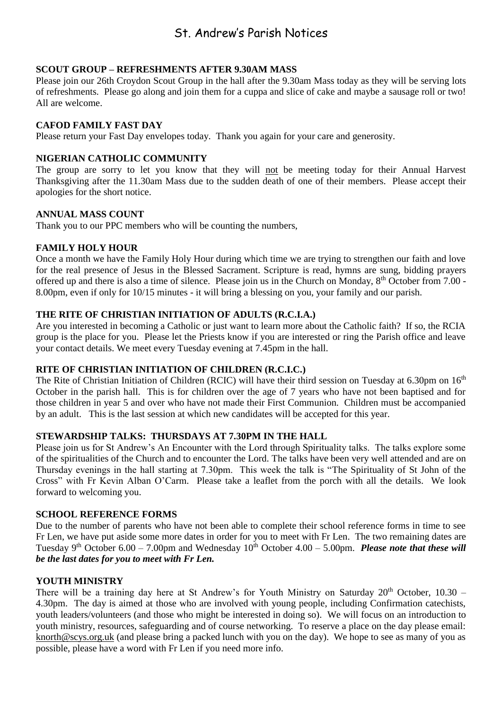# St. Andrew's Parish Notices

#### **SCOUT GROUP – REFRESHMENTS AFTER 9.30AM MASS**

Please join our 26th Croydon Scout Group in the hall after the 9.30am Mass today as they will be serving lots of refreshments. Please go along and join them for a cuppa and slice of cake and maybe a sausage roll or two! All are welcome.

#### **CAFOD FAMILY FAST DAY**

Please return your Fast Day envelopes today. Thank you again for your care and generosity.

# **NIGERIAN CATHOLIC COMMUNITY**

The group are sorry to let you know that they will not be meeting today for their Annual Harvest Thanksgiving after the 11.30am Mass due to the sudden death of one of their members. Please accept their apologies for the short notice.

#### **ANNUAL MASS COUNT**

Thank you to our PPC members who will be counting the numbers,

# **FAMILY HOLY HOUR**

Once a month we have the Family Holy Hour during which time we are trying to strengthen our faith and love for the real presence of Jesus in the Blessed Sacrament. Scripture is read, hymns are sung, bidding prayers offered up and there is also a time of silence. Please join us in the Church on Monday, 8<sup>th</sup> October from 7.00 -8.00pm, even if only for 10/15 minutes - it will bring a blessing on you, your family and our parish.

# **THE RITE OF CHRISTIAN INITIATION OF ADULTS (R.C.I.A.)**

Are you interested in becoming a Catholic or just want to learn more about the Catholic faith? If so, the RCIA group is the place for you. Please let the Priests know if you are interested or ring the Parish office and leave your contact details. We meet every Tuesday evening at 7.45pm in the hall.

#### **RITE OF CHRISTIAN INITIATION OF CHILDREN (R.C.I.C.)**

The Rite of Christian Initiation of Children (RCIC) will have their third session on Tuesday at 6.30pm on 16<sup>th</sup> October in the parish hall. This is for children over the age of 7 years who have not been baptised and for those children in year 5 and over who have not made their First Communion. Children must be accompanied by an adult. This is the last session at which new candidates will be accepted for this year.

#### **STEWARDSHIP TALKS: THURSDAYS AT 7.30PM IN THE HALL**

Please join us for St Andrew's An Encounter with the Lord through Spirituality talks. The talks explore some of the spiritualities of the Church and to encounter the Lord. The talks have been very well attended and are on Thursday evenings in the hall starting at 7.30pm. This week the talk is "The Spirituality of St John of the Cross" with Fr Kevin Alban O'Carm. Please take a leaflet from the porch with all the details. We look forward to welcoming you.

#### **SCHOOL REFERENCE FORMS**

Due to the number of parents who have not been able to complete their school reference forms in time to see Fr Len, we have put aside some more dates in order for you to meet with Fr Len. The two remaining dates are Tuesday 9<sup>th</sup> October 6.00 – 7.00pm and Wednesday  $10^{th}$  October 4.00 – 5.00pm. *Please note that these will be the last dates for you to meet with Fr Len.*

#### **YOUTH MINISTRY**

There will be a training day here at St Andrew's for Youth Ministry on Saturday  $20<sup>th</sup>$  October, 10.30 – 4.30pm. The day is aimed at those who are involved with young people, including Confirmation catechists, youth leaders/volunteers (and those who might be interested in doing so). We will focus on an introduction to youth ministry, resources, safeguarding and of course networking. To reserve a place on the day please email: [knorth@scys.org.uk](mailto:knorth@scys.org.uk) (and please bring a packed lunch with you on the day). We hope to see as many of you as possible, please have a word with Fr Len if you need more info.